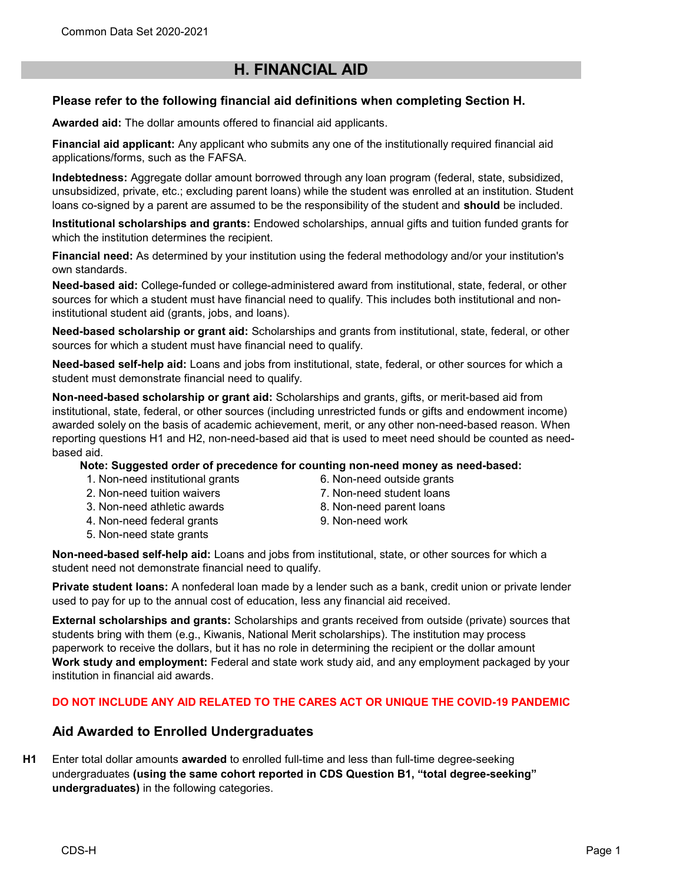# H. FINANCIAL AID

# Please refer to the following financial aid definitions when completing Section H.

Awarded aid: The dollar amounts offered to financial aid applicants.

Financial aid applicant: Any applicant who submits any one of the institutionally required financial aid applications/forms, such as the FAFSA.

Indebtedness: Aggregate dollar amount borrowed through any loan program (federal, state, subsidized, unsubsidized, private, etc.; excluding parent loans) while the student was enrolled at an institution. Student loans co-signed by a parent are assumed to be the responsibility of the student and **should** be included.

Institutional scholarships and grants: Endowed scholarships, annual gifts and tuition funded grants for which the institution determines the recipient.

Financial need: As determined by your institution using the federal methodology and/or your institution's own standards.

Need-based aid: College-funded or college-administered award from institutional, state, federal, or other sources for which a student must have financial need to qualify. This includes both institutional and noninstitutional student aid (grants, jobs, and loans).

Need-based scholarship or grant aid: Scholarships and grants from institutional, state, federal, or other sources for which a student must have financial need to qualify.

Need-based self-help aid: Loans and jobs from institutional, state, federal, or other sources for which a student must demonstrate financial need to qualify.

Non-need-based scholarship or grant aid: Scholarships and grants, gifts, or merit-based aid from institutional, state, federal, or other sources (including unrestricted funds or gifts and endowment income) awarded solely on the basis of academic achievement, merit, or any other non-need-based reason. When reporting questions H1 and H2, non-need-based aid that is used to meet need should be counted as needbased aid.

Note: Suggested order of precedence for counting non-need money as need-based:

- 1. Non-need institutional grants
- 2. Non-need tuition waivers
- 3. Non-need athletic awards
- 4. Non-need federal grants
- 5. Non-need state grants
- 6. Non-need outside grants 7. Non-need student loans
- 8. Non-need parent loans
- 9. Non-need work

Non-need-based self-help aid: Loans and jobs from institutional, state, or other sources for which a student need not demonstrate financial need to qualify.

Private student loans: A nonfederal loan made by a lender such as a bank, credit union or private lender used to pay for up to the annual cost of education, less any financial aid received.

External scholarships and grants: Scholarships and grants received from outside (private) sources that students bring with them (e.g., Kiwanis, National Merit scholarships). The institution may process paperwork to receive the dollars, but it has no role in determining the recipient or the dollar amount Work study and employment: Federal and state work study aid, and any employment packaged by your institution in financial aid awards.

### DO NOT INCLUDE ANY AID RELATED TO THE CARES ACT OR UNIQUE THE COVID-19 PANDEMIC

# Aid Awarded to Enrolled Undergraduates

H1 Enter total dollar amounts **awarded** to enrolled full-time and less than full-time degree-seeking undergraduates (using the same cohort reported in CDS Question B1, "total degree-seeking" undergraduates) in the following categories.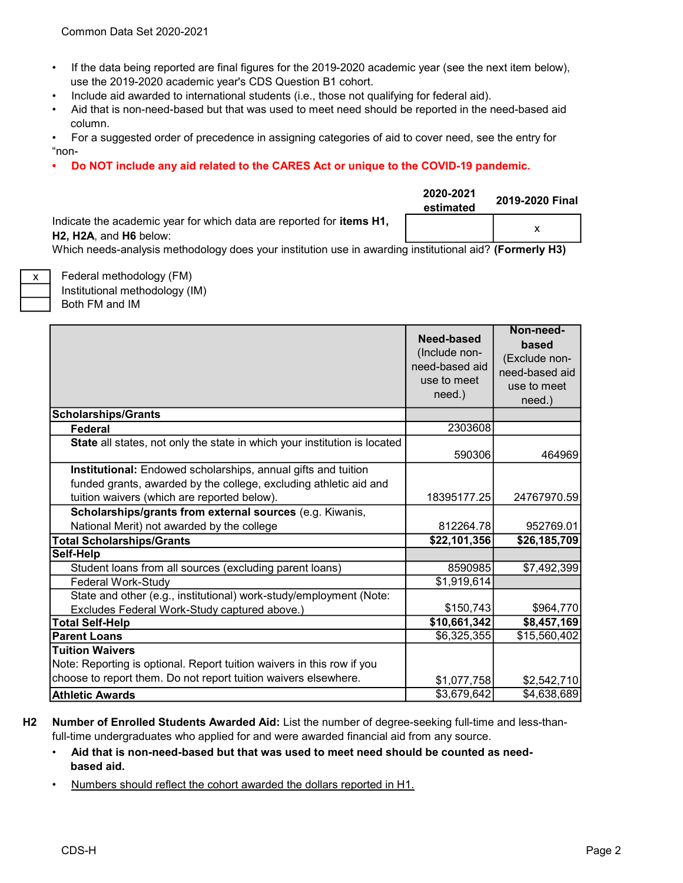- If the data being reported are final figures for the 2019-2020 academic year (see the next item below), use the 2019-2020 academic year's CDS Question B1 cohort.
- Include aid awarded to international students (i.e., those not qualifying for federal aid).
- Aid that is non-need-based but that was used to meet need should be reported in the need-based aid column.
- For a suggested order of precedence in assigning categories of aid to cover need, see the entry for "non-
- Do NOT include any aid related to the CARES Act or unique to the COVID-19 pandemic.

|                                                                                                               | 2020-2021<br>estimated | 2019-2020 Final |
|---------------------------------------------------------------------------------------------------------------|------------------------|-----------------|
| Indicate the academic year for which data are reported for <b>items H1</b> ,<br><b>H2. H2A. and H6 below:</b> |                        |                 |

Which needs-analysis methodology does your institution use in awarding institutional aid? (Formerly H3)

Both FM and IM Federal methodology (FM) Institutional methodology (IM)

x

|                                                                                                                                    | Need-based<br>(Include non-<br>need-based aid<br>use to meet<br>need.) | Non-need-<br>based<br>(Exclude non-<br>need-based aid<br>use to meet<br>need.) |
|------------------------------------------------------------------------------------------------------------------------------------|------------------------------------------------------------------------|--------------------------------------------------------------------------------|
| <b>Scholarships/Grants</b>                                                                                                         |                                                                        |                                                                                |
| Federal                                                                                                                            | 2303608                                                                |                                                                                |
| State all states, not only the state in which your institution is located                                                          | 590306                                                                 | 464969                                                                         |
| Institutional: Endowed scholarships, annual gifts and tuition<br>funded grants, awarded by the college, excluding athletic aid and |                                                                        |                                                                                |
| tuition waivers (which are reported below).                                                                                        | 18395177.25                                                            | 24767970.59                                                                    |
| Scholarships/grants from external sources (e.g. Kiwanis,                                                                           |                                                                        |                                                                                |
| National Merit) not awarded by the college                                                                                         | 812264.78                                                              | 952769.01                                                                      |
| <b>Total Scholarships/Grants</b>                                                                                                   | \$22,101,356                                                           | \$26,185,709                                                                   |
| Self-Help                                                                                                                          |                                                                        |                                                                                |
| Student loans from all sources (excluding parent loans)                                                                            | 8590985                                                                | \$7,492,399                                                                    |
| Federal Work-Study                                                                                                                 | \$1,919,614                                                            |                                                                                |
| State and other (e.g., institutional) work-study/employment (Note:                                                                 |                                                                        |                                                                                |
| Excludes Federal Work-Study captured above.)                                                                                       | \$150,743                                                              | \$964,770                                                                      |
| <b>Total Self-Help</b>                                                                                                             | \$10,661,342                                                           | \$8,457,169                                                                    |
| <b>Parent Loans</b>                                                                                                                | \$6,325,355                                                            | \$15,560,402                                                                   |
| <b>Tuition Waivers</b><br>Note: Reporting is optional. Report tuition waivers in this row if you                                   |                                                                        |                                                                                |
| choose to report them. Do not report tuition waivers elsewhere.                                                                    | \$1,077,758                                                            | \$2,542,710                                                                    |
| <b>Athletic Awards</b>                                                                                                             | \$3,679,642                                                            | \$4,638,689                                                                    |

- H2 Number of Enrolled Students Awarded Aid: List the number of degree-seeking full-time and less-thanfull-time undergraduates who applied for and were awarded financial aid from any source.
	- Aid that is non-need-based but that was used to meet need should be counted as need based aid.
	- Numbers should reflect the cohort awarded the dollars reported in H1.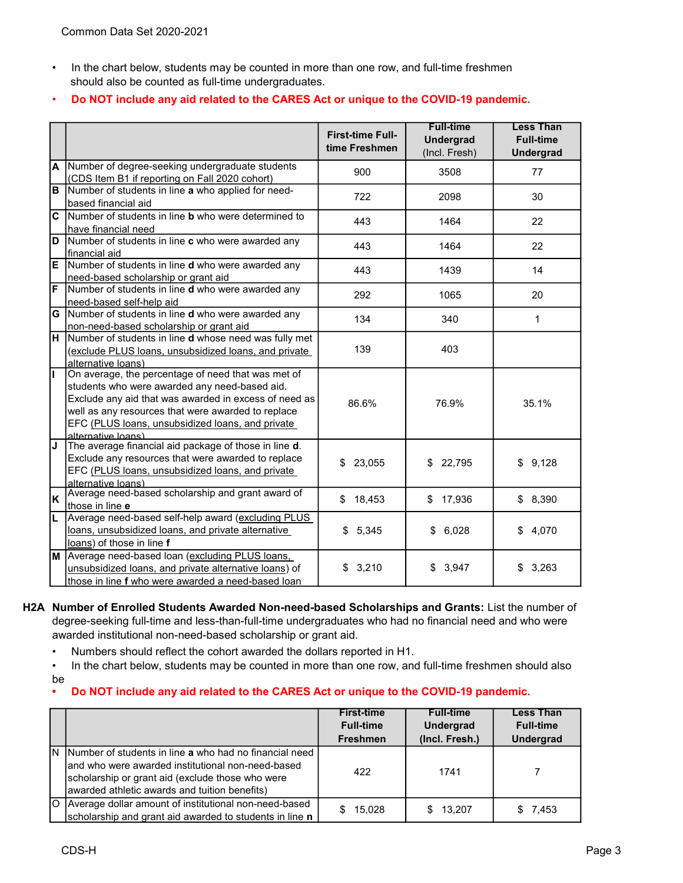• In the chart below, students may be counted in more than one row, and full-time freshmen should also be counted as full-time undergraduates.

#### • Do NOT include any aid related to the CARES Act or unique to the COVID-19 pandemic.

|                |                                                                                                                                                                                                                                                                                              | <b>First-time Full-</b><br>time Freshmen | <b>Full-time</b><br><b>Undergrad</b><br>(Incl. Fresh) | <b>Less Than</b><br><b>Full-time</b><br><b>Undergrad</b> |
|----------------|----------------------------------------------------------------------------------------------------------------------------------------------------------------------------------------------------------------------------------------------------------------------------------------------|------------------------------------------|-------------------------------------------------------|----------------------------------------------------------|
| A              | Number of degree-seeking undergraduate students<br>(CDS Item B1 if reporting on Fall 2020 cohort)                                                                                                                                                                                            | 900                                      | 3508                                                  | 77                                                       |
| B              | Number of students in line a who applied for need-<br>based financial aid                                                                                                                                                                                                                    | 722                                      | 2098                                                  | 30                                                       |
| $\mathbf{C}$   | Number of students in line <b>b</b> who were determined to<br>have financial need                                                                                                                                                                                                            | 443                                      | 1464                                                  | 22                                                       |
| $\overline{D}$ | Number of students in line c who were awarded any<br>financial aid                                                                                                                                                                                                                           | 443                                      | 1464                                                  | 22                                                       |
| E              | Number of students in line <b>d</b> who were awarded any<br>need-based scholarship or grant aid                                                                                                                                                                                              | 443                                      | 1439                                                  | 14                                                       |
| F              | Number of students in line d who were awarded any<br>need-based self-help aid                                                                                                                                                                                                                | 292                                      | 1065                                                  | 20                                                       |
| G              | Number of students in line <b>d</b> who were awarded any<br>non-need-based scholarship or grant aid                                                                                                                                                                                          | 134                                      | 340                                                   | 1                                                        |
| н              | Number of students in line d whose need was fully met<br>(exclude PLUS loans, unsubsidized loans, and private<br>alternative loans)                                                                                                                                                          | 139                                      | 403                                                   |                                                          |
|                | On average, the percentage of need that was met of<br>students who were awarded any need-based aid.<br>Exclude any aid that was awarded in excess of need as<br>well as any resources that were awarded to replace<br>EFC (PLUS loans, unsubsidized loans, and private<br>alternative loans) | 86.6%                                    | 76.9%                                                 | 35.1%                                                    |
| IJ             | The average financial aid package of those in line d.<br>Exclude any resources that were awarded to replace<br>EFC (PLUS loans, unsubsidized loans, and private<br>alternative loans)                                                                                                        | \$<br>23,055                             | \$<br>22,795                                          | \$9,128                                                  |
| K              | Average need-based scholarship and grant award of<br>those in line e                                                                                                                                                                                                                         | \$<br>18,453                             | \$17,936                                              | \$8,390                                                  |
|                | Average need-based self-help award (excluding PLUS<br>loans, unsubsidized loans, and private alternative<br>loans) of those in line f                                                                                                                                                        | \$5,345                                  | 6,028<br>\$                                           | 4,070<br>\$                                              |
| M              | Average need-based loan (excluding PLUS loans,<br>unsubsidized loans, and private alternative loans) of<br>those in line f who were awarded a need-based loan                                                                                                                                | \$<br>3,210                              | 3,947<br>\$                                           | \$<br>3,263                                              |

H2A Number of Enrolled Students Awarded Non-need-based Scholarships and Grants: List the number of degree-seeking full-time and less-than-full-time undergraduates who had no financial need and who were awarded institutional non-need-based scholarship or grant aid.

• Numbers should reflect the cohort awarded the dollars reported in H1.

• In the chart below, students may be counted in more than one row, and full-time freshmen should also be

#### • Do NOT include any aid related to the CARES Act or unique to the COVID-19 pandemic.

|                                                                                                                                                                                                                      | <b>First-time</b><br><b>Full-time</b><br><b>Freshmen</b> | <b>Full-time</b><br><b>Undergrad</b><br>(Incl. Fresh.) | <b>Less Than</b><br><b>Full-time</b><br><b>Undergrad</b> |
|----------------------------------------------------------------------------------------------------------------------------------------------------------------------------------------------------------------------|----------------------------------------------------------|--------------------------------------------------------|----------------------------------------------------------|
| N Number of students in line a who had no financial need<br>Iand who were awarded institutional non-need-based.<br>scholarship or grant aid (exclude those who were<br>awarded athletic awards and tuition benefits) | 422                                                      | 1741                                                   |                                                          |
| O Average dollar amount of institutional non-need-based<br>scholarship and grant aid awarded to students in line n                                                                                                   | 15,028<br>\$.                                            | 13,207                                                 | \$7,453                                                  |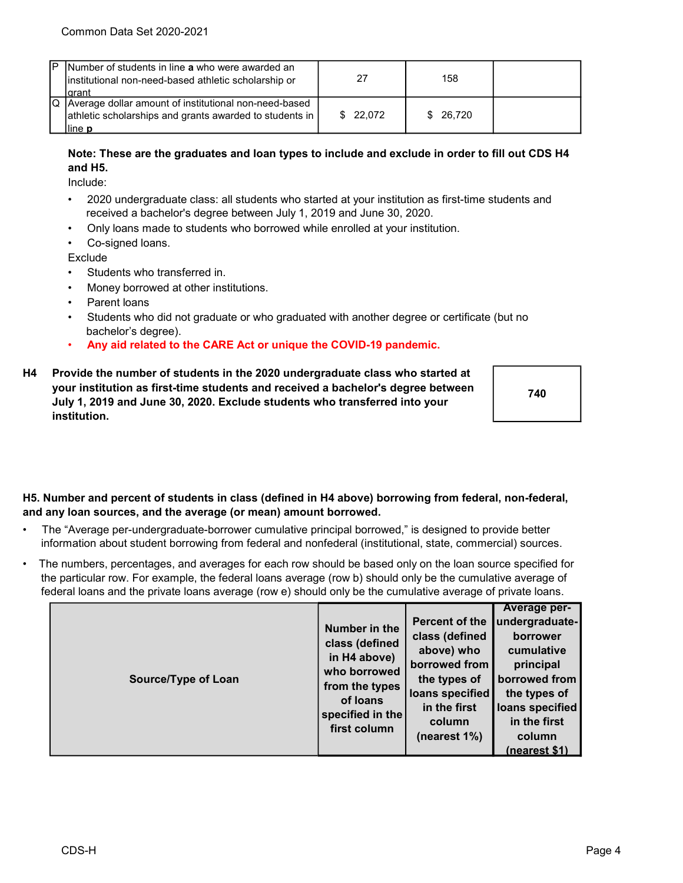| P | Number of students in line a who were awarded an<br>institutional non-need-based athletic scholarship or<br>Iarant                     | 27       | 158      |  |
|---|----------------------------------------------------------------------------------------------------------------------------------------|----------|----------|--|
|   | Q Average dollar amount of institutional non-need-based<br>athletic scholarships and grants awarded to students in  <br>lline <b>p</b> | \$22.072 | \$26.720 |  |

### Note: These are the graduates and loan types to include and exclude in order to fill out CDS H4 and H5.

Include:

- 2020 undergraduate class: all students who started at your institution as first-time students and received a bachelor's degree between July 1, 2019 and June 30, 2020.
- Only loans made to students who borrowed while enrolled at your institution.
- Co-signed loans.

**Exclude** 

- Students who transferred in.
- Money borrowed at other institutions.
- Parent loans
- Students who did not graduate or who graduated with another degree or certificate (but no bachelor's degree).
- Any aid related to the CARE Act or unique the COVID-19 pandemic.
- H4 Provide the number of students in the 2020 undergraduate class who started at your institution as first-time students and received a bachelor's degree between July 1, 2019 and June 30, 2020. Exclude students who transferred into your institution.

740

#### H5. Number and percent of students in class (defined in H4 above) borrowing from federal, non-federal, and any loan sources, and the average (or mean) amount borrowed.

- The "Average per-undergraduate-borrower cumulative principal borrowed," is designed to provide better information about student borrowing from federal and nonfederal (institutional, state, commercial) sources.
- The numbers, percentages, and averages for each row should be based only on the loan source specified for the particular row. For example, the federal loans average (row b) should only be the cumulative average of federal loans and the private loans average (row e) should only be the cumulative average of private loans.

|                     |                  |                 | Average per-    |
|---------------------|------------------|-----------------|-----------------|
|                     | Number in the    | Percent of the  | undergraduate-  |
|                     |                  | class (defined  | borrower        |
|                     | class (defined   | above) who      | cumulative      |
|                     | in H4 above)     | borrowed from   | principal       |
| Source/Type of Loan | who borrowed     | the types of    | borrowed from   |
|                     | from the types   | loans specified | the types of    |
|                     | of loans         | in the first    | loans specified |
|                     | specified in the | column          | in the first    |
|                     | first column     | (nearest 1%)    | column          |
|                     |                  |                 | (nearest \$1)   |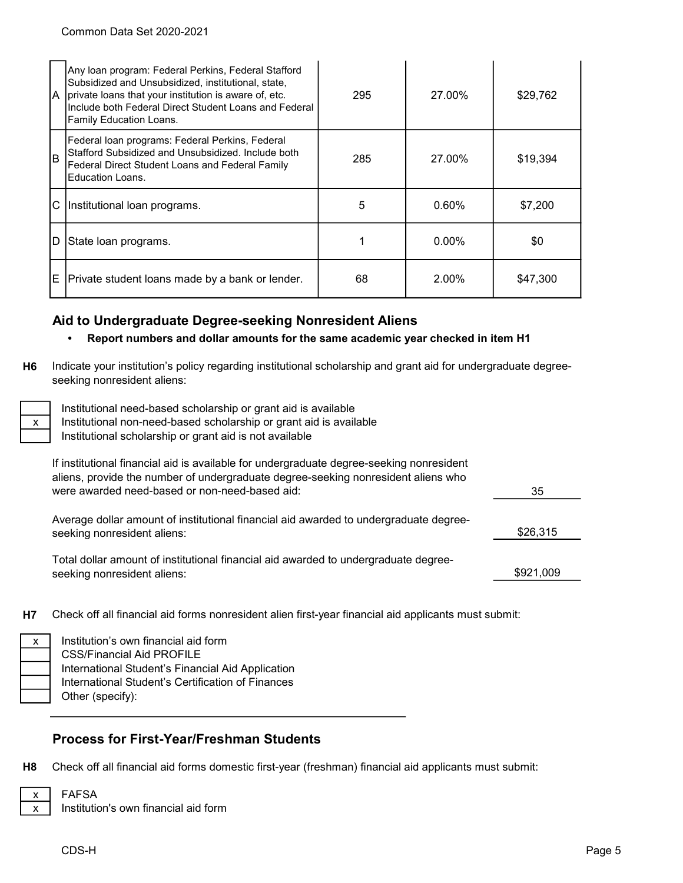| IA.                                | Any Ioan program: Federal Perkins, Federal Stafford<br>Subsidized and Unsubsidized, institutional, state,<br>private loans that your institution is aware of, etc.<br>Include both Federal Direct Student Loans and Federal<br>Family Education Loans. | 295           | 27.00%   | \$29,762 |
|------------------------------------|--------------------------------------------------------------------------------------------------------------------------------------------------------------------------------------------------------------------------------------------------------|---------------|----------|----------|
| B                                  | Federal Ioan programs: Federal Perkins, Federal<br>Stafford Subsidized and Unsubsidized. Include both<br>Federal Direct Student Loans and Federal Family<br><b>Education Loans.</b>                                                                    | 285<br>27.00% |          | \$19,394 |
| C.<br>Institutional loan programs. |                                                                                                                                                                                                                                                        | 5             | $0.60\%$ | \$7,200  |
| D                                  | State Ioan programs.                                                                                                                                                                                                                                   |               | $0.00\%$ | \$0      |
| E.                                 | Private student loans made by a bank or lender.                                                                                                                                                                                                        | 68            | 2.00%    | \$47,300 |

# Aid to Undergraduate Degree-seeking Nonresident Aliens

### • Report numbers and dollar amounts for the same academic year checked in item H1

H6 Indicate your institution's policy regarding institutional scholarship and grant aid for undergraduate degreeseeking nonresident aliens:

| х |
|---|
|   |

Institutional need-based scholarship or grant aid is available Institutional non-need-based scholarship or grant aid is available

Institutional scholarship or grant aid is not available

| If institutional financial aid is available for undergraduate degree-seeking nonresident<br>aliens, provide the number of undergraduate degree-seeking nonresident aliens who |           |
|-------------------------------------------------------------------------------------------------------------------------------------------------------------------------------|-----------|
| were awarded need-based or non-need-based aid:                                                                                                                                | 35        |
| Average dollar amount of institutional financial aid awarded to undergraduate degree-<br>seeking nonresident aliens:                                                          | \$26,315  |
| Total dollar amount of institutional financial aid awarded to undergraduate degree-<br>seeking nonresident aliens:                                                            | \$921,009 |
|                                                                                                                                                                               |           |

H7 Check off all financial aid forms nonresident alien first-year financial aid applicants must submit:

| Institution's own financial aid form              |
|---------------------------------------------------|
| <b>CSS/Financial Aid PROFILE</b>                  |
| International Student's Financial Aid Application |
| International Student's Certification of Finances |
| Other (specify):                                  |
|                                                   |

# Process for First-Year/Freshman Students

H8 Check off all financial aid forms domestic first-year (freshman) financial aid applicants must submit:

x x

FAFSA Institution's own financial aid form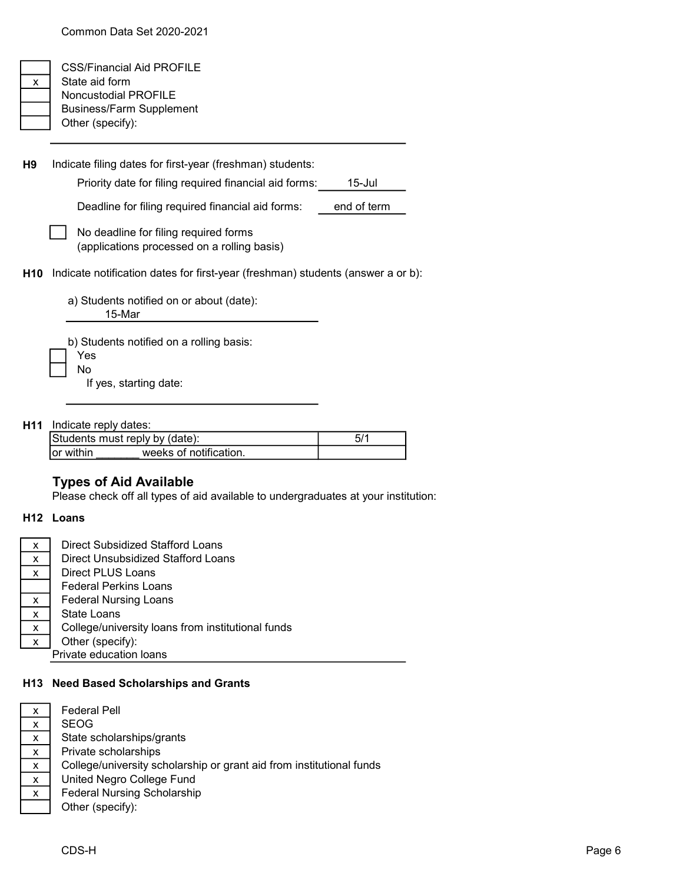|   | <b>CSS/Financial Aid PROFILE</b> |
|---|----------------------------------|
| x | State aid form                   |
|   | <b>Noncustodial PROFILE</b>      |
|   | <b>Business/Farm Supplement</b>  |
|   | Other (specify):                 |

H9 Priority date for filing required financial aid forms: 15-Jul Deadline for filing required financial aid forms: end of term H10 Indicate notification dates for first-year (freshman) students (answer a or b): a) Students notified on or about (date): 15-Mar Indicate filing dates for first-year (freshman) students: No deadline for filing required forms (applications processed on a rolling basis)

> b) Students notified on a rolling basis: Yes No

If yes, starting date:

H11 Indicate reply dates:

|            | Students must reply by (date): |  |
|------------|--------------------------------|--|
| lor within | weeks of notification.         |  |

### Types of Aid Available

Please check off all types of aid available to undergraduates at your institution:

#### H12 Loans

| х | Direct Subsidized Stafford Loans                  |
|---|---------------------------------------------------|
| x | Direct Unsubsidized Stafford Loans                |
| x | Direct PLUS Loans                                 |
|   | <b>Federal Perkins Loans</b>                      |
| x | <b>Federal Nursing Loans</b>                      |
| x | State Loans                                       |
| x | College/university loans from institutional funds |
| х | Other (specify):                                  |
|   | Private education loans                           |

#### H13 Need Based Scholarships and Grants

| x            | <b>Federal Pell</b>                                                  |
|--------------|----------------------------------------------------------------------|
| $\mathsf{x}$ | <b>SEOG</b>                                                          |
| X            | State scholarships/grants                                            |
| х            | Private scholarships                                                 |
| X            | College/university scholarship or grant aid from institutional funds |
| X            | United Negro College Fund                                            |
| X            | <b>Federal Nursing Scholarship</b>                                   |
|              | Other (specify):                                                     |